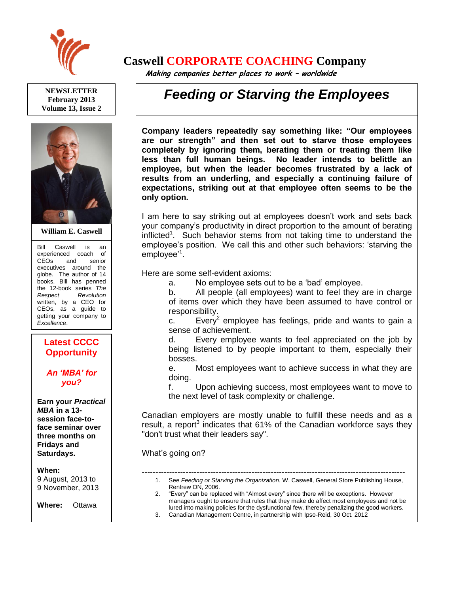

**NEWSLETTER February 2013 Volume 13, Issue 2**



**William E. Caswell**

Bill Caswell is an experienced coach of CEOs and senior executives around the globe. The author of 14 books, Bill has penned the 12-book series *The Respect Revolution* written, by a CEO for CEOs, as a guide to getting your company to *Excellence*.

## **Latest CCCC Opportunity**

## *An 'MBA' for you?*

**Earn your** *Practical MBA* **in a 13 session face-toface seminar over three months on Fridays and Saturdays.**

**When:** 

9 August, 2013 to 9 November, 2013

**Where:** Ottawa

**Price:** \$10,000

## **Caswell CORPORATE COACHING Company**

 **Making companies better places to work – worldwide**

## *Feeding or Starving the Employees*

**Company leaders repeatedly say something like: "Our employees are our strength" and then set out to starve those employees completely by ignoring them, berating them or treating them like less than full human beings. No leader intends to belittle an employee, but when the leader becomes frustrated by a lack of results from an underling, and especially a continuing failure of expectations, striking out at that employee often seems to be the only option.** 

I am here to say striking out at employees doesn't work and sets back your company's productivity in direct proportion to the amount of berating inflicted<sup>1</sup>. Such behavior stems from not taking time to understand the employee's position. We call this and other such behaviors: 'starving the employee'<sup>1</sup>.

Here are some self-evident axioms:

a. No employee sets out to be a 'bad' employee.

b. All people (all employees) want to feel they are in charge of items over which they have been assumed to have control or responsibility.

c. Every<sup>2</sup> employee has feelings, pride and wants to gain a sense of achievement.

d. Every employee wants to feel appreciated on the job by being listened to by people important to them, especially their bosses.

e. Most employees want to achieve success in what they are doing.

f. Upon achieving success, most employees want to move to the next level of task complexity or challenge.

Canadian employers are mostly unable to fulfill these needs and as a result, a report<sup>3</sup> indicates that  $61\%$  of the Canadian workforce says they "don't trust what their leaders say".

What's going on?

------------------------------------------------------------------------------------------------ 1. See *Feeding or Starving the Organization*, W. Caswell, General Store Publishing House, Renfrew ON, 2006. 2. "Every" can be replaced with "Almost every" since there will be exceptions. However

managers ought to ensure that rules that they make do affect most employees and not be lured into making policies for the dysfunctional few, thereby penalizing the good workers. 3. Canadian Management Centre, in partnership with Ipso-Reid, 30 Oct. 2012